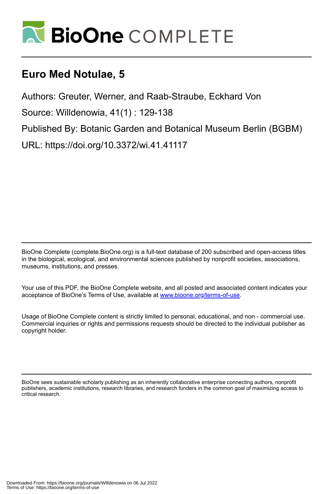

# **Euro Med Notulae, 5**

Authors: Greuter, Werner, and Raab-Straube, Eckhard Von

Source: Willdenowia, 41(1) : 129-138

Published By: Botanic Garden and Botanical Museum Berlin (BGBM)

URL: https://doi.org/10.3372/wi.41.41117

BioOne Complete (complete.BioOne.org) is a full-text database of 200 subscribed and open-access titles in the biological, ecological, and environmental sciences published by nonprofit societies, associations, museums, institutions, and presses.

Your use of this PDF, the BioOne Complete website, and all posted and associated content indicates your acceptance of BioOne's Terms of Use, available at www.bioone.org/terms-of-use.

Usage of BioOne Complete content is strictly limited to personal, educational, and non - commercial use. Commercial inquiries or rights and permissions requests should be directed to the individual publisher as copyright holder.

BioOne sees sustainable scholarly publishing as an inherently collaborative enterprise connecting authors, nonprofit publishers, academic institutions, research libraries, and research funders in the common goal of maximizing access to critical research.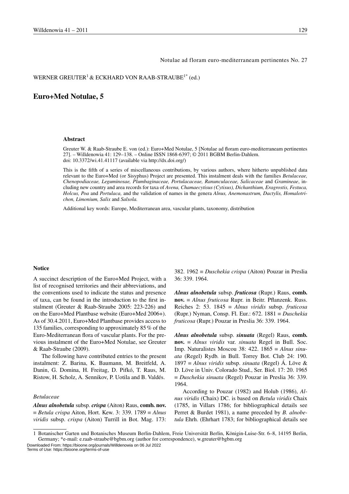#### Notulae ad floram euro-mediterraneam pertinentes No. 27

#### WERNER GREUTER<sup>1</sup> & ECKHARD VON RAAB-STRAUBE<sup>1\*</sup> (ed.)

# **Euro+Med Notulae, 5**

#### **Abstract**

Greuter W. & Raab-Straube E. von (ed.): Euro+Med Notulae, 5 [Notulae ad floram euro-mediterraneam pertinentes 27]. – Willdenowia 41: 129–138. – Online ISSN 1868-6397; © 2011 BGBM Berlin-Dahlem. doi: 10.3372/wi.41.41117 (available via http://dx.doi.org/)

This is the fifth of a series of miscellaneous contributions, by various authors, where hitherto unpublished data relevant to the Euro+Med (or Sisyphus) Project are presented. This instalment deals with the families *Betulaceae, Chenopodiaceae, Leguminosae, Plumbaginaceae, Portulacaceae, Ranunculaceae, Salicaceae* and *Gramineae*, including new country and area records for taxa of *Avena, Chamaecytisus (Cytisus), Dichanthium, Eragrostis, Festuca, Holcus, Poa* and *Portulaca,* and the validation of names in the genera *Alnus, Anemonastrum, Dactylis, Homalotrichon, Limonium, Salix* and *Salsola.*

Additional key words: Europe, Mediterranean area, vascular plants, taxonomy, distribution

#### **Notice**

A succinct description of the Euro+Med Project, with a list of recognised territories and their abbreviations, and the conventions used to indicate the status and presence of taxa, can be found in the introduction to the first instalment (Greuter & Raab-Straube 2005: 223-226) and on the Euro+Med Plantbase website (Euro+Med 2006+). As of 30.4.2011, Euro+Med Plantbase provides access to 135 families, corresponding to approximately 85% of the Euro-Mediterranean flora of vascular plants. For the previous instalment of the Euro+Med Notulae, see Greuter & Raab-Straube (2009).

The following have contributed entries to the present instalment: Z. Barina, K. Baumann, M. Breitfeld, A. Danin, G. Domina, H. Freitag, D. Pifkó, T. Raus, M. Ristow, H. Scholz, A. Sennikov, P. Uotila and B. Valdés.

# *Betulaceae*

*Alnus alnobetula* subsp. *crispa* (Aiton) Raus, **comb. nov.** ≡ *Betula crispa* Aiton, Hort. Kew. 3: 339. 1789 ≡ *Alnus viridis* subsp. *crispa* (Aiton) Turrill in Bot. Mag. 173: 382. 1962 ≡ *Duschekia crispa* (Aiton) Pouzar in Preslia 36: 339. 1964.

*Alnus alnobetula* subsp. *fruticosa* (Rupr.) Raus, **comb. nov.** ≡ *Alnus fruticosa* Rupr. in Beitr. Pflanzenk. Russ. Reiches 2: 53. 1845 ≡ *Alnus viridis* subsp. *fruticosa* (Rupr.) Nyman, Consp. Fl. Eur.: 672. 1881 ≡ *Duschekia fruticosa* (Rupr.) Pouzar in Preslia 36: 339. 1964.

*Alnus alnobetula* subsp. *sinuata* (Regel) Raus, **comb. nov.** ≡ *Alnus viridis* var. *sinuata* Regel in Bull. Soc. Imp. Naturalistes Moscou 38: 422. 1865 ≡ *Alnus sinuata* (Regel) Rydb. in Bull. Torrey Bot. Club 24: 190. 1897 ≡ *Alnus viridis* subsp. *sinuata* (Regel) Á. Löve & D. Löve in Univ. Colorado Stud., Ser. Biol. 17: 20. 1965 ≡ *Duschekia sinuata* (Regel) Pouzar in Preslia 36: 339. 1964.

According to Pouzar (1982) and Holub (1986), *Alnus viridis* (Chaix) DC. is based on *Betula viridis* Chaix (1785, in Villars 1786; for bibliographical details see Perret & Burdet 1981), a name preceded by *B. alnobetula* Ehrh. (Ehrhart 1783; for bibliographical details see

1 Botanischer Garten und Botanisches Museum Berlin-Dahlem, Freie Universität Berlin, Königin-Luise-Str. 6–8, 14195 Berlin, Germany; \*e-mail: e.raab-straube@bgbm.org (author for correspondence), w.greuter@bgbm.org

Downloaded From: https://bioone.org/journals/Willdenowia on 06 Jul 2022 Terms of Use: https://bioone.org/terms-of-use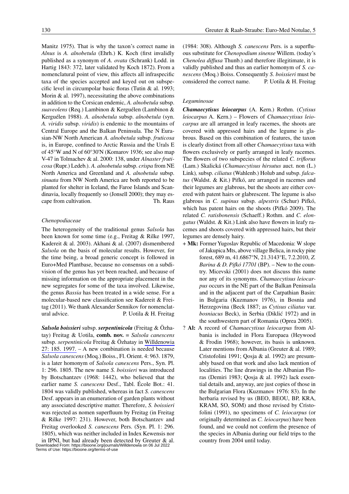Manitz 1975). That is why the taxon's correct name in *Alnus* is *A. alnobetula* (Ehrh.) K. Koch (first invalidly published as a synonym of *A. ovata* (Schrank) Lodd. in Hartig 1843: 372, later validated by Koch 1872). From a nomenclatural point of view, this affects all infraspecific taxa of the species accepted and keyed out on subspecific level in circumpolar basic floras (Tutin & al. 1993; Morin & al. 1997), necessitating the above combinations in addition to the Corsican endemic, *A. alnobetula* subsp. *suaveolens* (Req.) Lambinon & Kerguélen (Lambinon & Kerguélen 1988). *A. alnobetula* subsp. *alnobetula* (syn. *A. viridis* subsp. *viridis*) is endemic to the mountains of Central Europe and the Balkan Peninsula. The N Eurasian-NW North American *A. alnobetula* subsp. *fruticosa* is, in Europe, confined to Arctic Russia and the Urals E of 45°W and N of 60°30'N (Komarov 1936; see also map V-47 in Tolmachev & al. 2000: 138, under *Alnaster fruticosa* (Rupr.) Ledeb.). *A. alnobetula* subsp. *crispa* from NE North America and Greenland and *A. alnobetula* subsp. *sinuata* from NW North America are both reported to be planted for shelter in Iceland, the Faroe Islands and Scandinavia, locally frequently so (Jonsell 2000); they may escape from cultivation. Th. Raus

# *Chenopodiaceae*

The heterogeneity of the traditional genus *Salsola* has been known for some time (e.g., Freitag & Rilke 1997, Kadereit & al. 2003). Akhani & al. (2007) dismembered *Salsola* on the basis of molecular results. However, for the time being, a broad generic concept is followed in Euro+Med Plantbase, because no consensus on a subdivision of the genus has yet been reached, and because of missing information on the appropriate placement in the new segregates for some of the taxa involved. Likewise, the genus *Bassia* has been treated in a wide sense. For a molecular-based new classification see Kadereit & Freitag (2011). We thank Alexander Sennikov for nomenclatural advice. P. Uotila & H. Freitag

*Salsola boissieri* subsp. *serpentinicola* (Freitag & Özhatay) Freitag & Uotila, **comb. nov.** ≡ *Salsola canescens* subsp. *serpentinicola* Freitag & Özhatay in [Willdenowia](http://www.ingentaconnect.com/content/external-references?article=0511-9618(1997)27L.185[aid=9582668])  [27: 185. 1997.](http://www.ingentaconnect.com/content/external-references?article=0511-9618(1997)27L.185[aid=9582668]) – A new combination is needed because *Salsola canescens* (Moq.) Boiss., Fl. Orient. 4: 963. 1879, is a later homonym of *Salsola canescens* Pers., Syn. Pl. 1: 296. 1805. The new name *S. boissieri* was introduced by Botschantzev (1968: 1442), who believed that the earlier name *S. canescens* Desf., Tabl. École Bot.: 41. 1804 was validly published, whereas in fact *S. canescens*  Desf. appears in an enumeration of garden plants without any associated descriptive matter. Therefore, *S. boissieri* was rejected as nomen superfluum by Freitag (in Freitag & Rilke 1997: 231). However, both Botschantzev and Freitag overlooked *S. canescens* Pers. (Syn. Pl. 1: 296. 1805), which was neither included in Index Kewensis nor in IPNI, but had already been detected by Greuter & al.

(1984: 308). Although *S. canescens* Pers. is a superfluous substitute for *Chenopodium sinense* Willem. (today's *Chenolea diffusa* Thunb.) and therefore illegitimate, it is validly published and thus an earlier homonym of *S. canescens* (Moq.) Boiss. Consequently *S. boissieri* must be considered the correct name. P. Uotila & H. Freitag

#### *Leguminosae*

*Chamaecytisus leiocarpus* (A. Kern.) Rothm. (*Cytisus leiocarpus* A. Kern.) – Flowers of *Chamaecytisus leiocarpus* are all arranged in leafy racemes, the shoots are covered with appressed hairs and the legume is glabrous. Based on this combination of features, the taxon is clearly distinct from all other *Chamaecytisus* taxa with flowers exclusively or partly arranged in leafy racemes. The flowers of two subspecies of the related *C. triflorus* (Lam.) Skalická (*Chamaecytisus hirsutus* auct. non (L.) Link)*,* subsp. *ciliatus* (Wahlenb.) Holub and subsp. *falcatus* (Waldst. & Kit.) Pifkó, are arranged in racemes and their legumes are glabrous, but the shoots are either covered with patent hairs or glabrescent. The legume is also glabrous in *C. supinus* subsp. *alpestris* (Schur) Pifkó, which has patent hairs on the shoots (Pifkó 2009). The related *C. ratisbonensis* (Schaeff.) Rothm. and *C. elongatus* (Waldst. & Kit.) Link also have flowers in leafy racemes and shoots covered with appressed hairs, but their legumes are densely hairy.

- + **Mk:** Former Yugoslav Republic of Macedonia: W slope of Jakupica Mts, above village Belica, in rocky pine forest, 689 m, 41.6867°N, 21.3143°E, 7.2.2010, *Z. Barina & D. Pifkó 17701* (BP). – New to the country. Micevski (2001) does not discuss this name nor any of its synonyms. *Chamaecytisus leiocarpus* occurs in the NE part of the Balkan Peninsula and in the adjacent part of the Carpathian Basin: in Bulgaria (Kuzmanov 1976), in Bosnia and Herzegovina (Beck 1887; as *Cytisus ciliatus* var. *bosniacus* Beck), in Serbia (Diklić 1972) and in the southwestern part of Romania (Oprea 2005).
- ? **Al:** A record of *Chamaecytisus leiocarpus* from Albania is included in Flora Europaea (Heywood & Frodin 1968); however, its basis is unknown. Later mentions from Albania (Greuter & al. 1989; Cristofolini 1991; Qosja & al. 1992) are presumably based on that work and also lack mention of localities. The line drawings in the Albanian Floras (Demiri 1983; Qosja & al. 1992) lack essential details and, anyway, are just copies of those in the Bulgarian Flora (Kuzmanov 1976: 83). In the herbaria revised by us (BEO, BEOU, BP, KRA, KRAM, SO, SOM) and those revised by Cristofolini (1991), no specimens of *C. leiocarpus* (or originally determined as *C. leiocarpus*) have been found, and we could not confirm the presence of the species in Albania during our field trips to the country from 2004 until today.

Downloaded From: https://bioone.org/journals/Willdenowia on 06 Jul 2022 Terms of Use: https://bioone.org/terms-of-use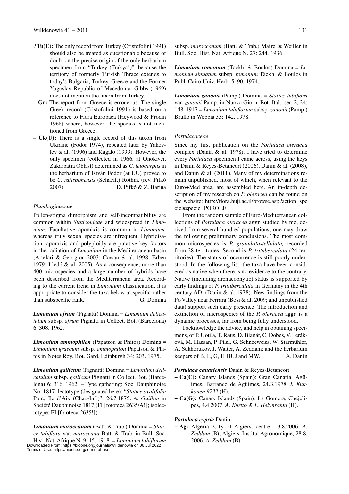- ? **Tu(E):** The only record from Turkey (Cristofolini 1991) should also be treated as questionable because of doubt on the precise origin of the only herbarium specimen from "Turkey (Trakya!)", because the territory of formerly Turkish Thrace extends to today's Bulgaria, Turkey, Greece and the Former Yugoslav Republic of Macedonia. Gibbs (1969) does not mention the taxon from Turkey.
- – **Gr:** The report from Greece is erroneous. The single Greek record (Cristofolini 1991) is based on a reference to Flora Europaea (Heywood & Frodin 1968) where, however, the species is not mentioned from Greece.
- **Uk(U):** There is a single record of this taxon from Ukraine (Fodor 1974), repeated later by Yakovlev & al. (1996) and Kagalo (1999). However, the only specimen (collected in 1966, at Onokivci, Zakarpatia Oblast) determined as *C. leiocarpus* in the herbarium of István Fodor (at UU) proved to be *C. ratisbonensis* (Schaeff.) Rothm. (rev. Pifkó 2007). D. Pifkó & Z. Barina

# *Plumbaginaceae*

Pollen-stigma dimorphism and self-incompatibility are common within *Staticoideae* and widespread in *Limonium*. Facultative apomixis is common in *Limonium,*  whereas truly sexual species are infrequent. Hybridisation, apomixis and polyploidy are putative key factors in the radiation of *Limonium* in the Mediterranean basin (Artelari & Georgiou 2003; Cowan & al. 1998; Erben 1979; Lledó & al. 2005). As a consequence, more than 400 microspecies and a large number of hybrids have been described from the Mediterranean area. According to the current trend in *Limonium* classification, it is appropriate to consider the taxa below at specific rather than subspecific rank. G. Domina

*Limonium afrum* (Pignatti) Domina ≡ *Limonium delicatulum* subsp. *afrum* Pignatti in Collect. Bot. (Barcelona) 6: 308. 1962.

*Limonium ammophilon* (Papatsou & Phitos) Domina ≡ *Limonium graecum* subsp*. ammophilon* Papatsou & Phitos in Notes Roy. Bot. Gard. Edinburgh 34: 203. 1975.

*Limonium gallicum* (Pignatti) Domina ≡ *Limonium delicatulum* subsp. *gallicum* Pignatti in Collect. Bot. (Barcelona) 6: 316. 1962. – Type gathering: Soc. Dauphinoise No. 1817; lectotype (designated here): "*Statice ovalifolia* Poir., Ile d'Aix (Char.-Inf.)", 26.7.1875. *A. Guillon* in Société Dauphinoise 1817 (FI [fototeca 2635/A!]; isolectotype: FI [fototeca 2635!]).

*Limonium maroccanum* (Batt. & Trab.) Domina ≡ *Statice tubiflora* var. *maroccana* Batt. & Trab. in Bull. Soc. Hist. Nat. Afrique N. 9: 15. 1918. ≡ *Limonium tubiflorum* Downloaded From: http͡s://bioone.org/journals/Willdenowia on 06 Jul 2022<br>Terms of Use: https://bioone.org/terms-of-use

*Limonium romanum* (Täckh. & Boulos) Domina ≡ *Limonium sinuatum* subsp. *romanum* Täckh. & Boulos in Publ. Cairo Univ. Herb. 5: 90. 1974.

*Limonium zanonii* (Pamp.) Domina ≡ *Statice tubiflora* var. *zanonii* Pamp. in Nuovo Giorn. Bot. Ital., ser. 2, 24: 148. 1917 ≡ *Limonium tubiflorum* subsp. *zanonii* (Pamp.) Brullo in Webbia 33: 142. 1978.

# *Portulacaceae*

Since my first publication on the *Portulaca oleracea* complex (Danin & al. 1978), I have tried to determine every *Portulaca* specimen I came across, using the keys in Danin & Reyes-Betancort (2006), Danin & al. (2008), and Danin & al. (2011). Many of my determinations remain unpublished, most of which, when relevant to the Euro+Med area, are assembled here. An in-depth description of my research on *P. oleracea* can be found on the website: [http://flora.huji.ac.il/browse.asp?action=spe](http://flora.huji.ac.il/browse.asp?action=specie&specie=POROLE) [cie&specie=POROLE.](http://flora.huji.ac.il/browse.asp?action=specie&specie=POROLE)

From the random sample of Euro-Mediterranean collections of *Portulaca oleracea* aggr. studied by me, derived from several hundred populations, one may draw the following preliminary conclusions. The most common microspecies is *P. granulatostellulata,* recorded from 28 territories. Second is *P. trituberculata* (24 territories). The status of occurrence is still poorly understood. In the following list, the taxa have been considered as native when there is no evidence to the contrary. Native (including archaeophytic) status is supported by early findings of *P. trituberculata* in Germany in the 4th century AD. (Danin & al. 1978). New findings from the Po Valley near Ferrara (Bosi & al. 2009; and unpublished data) support such early presence. The introduction and extinction of microspecies of the *P. oleracea* aggr. is a dynamic processes, far from being fully understood.

I acknowledge the advice, and help in obtaining specimens, of P. Uotila, T. Raus, D. Blanár, C. Dobes, V. Feráková, M. Hassan, P. Pilsl, G. Schneeweiss, W. Starmühler, A. Sukhorukov, J. Walter, A. Zeddam; and the herbarium keepers of B, E, G, H HUJ and MW. A. Danin

*Portulaca canariensis* Danin & Reyes-Betancort

- + **Ca(C):** Canary Islands (Spain): Gran Canaria, Agüimes, Barranco de Agüimes, 24.3.1978, *I. Kukkonen 9733* (H).
- + **Ca(G):** Canary Islands (Spain): La Gomera, Chejelipes, 4.4.2007, *A. Kurtto & L. Helynranta* (H).

#### *Portulaca cypria* Danin

+ **Ag:** Algeria: City of Algiers, centre, 13.8.2006, *A. Zeddam* (B); Algiers, Institut Agronomique, 28.8. 2006, *A. Zeddam* (B).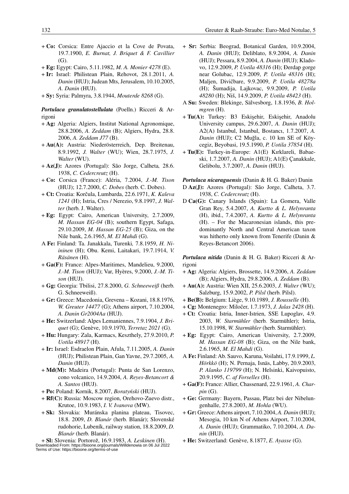- + **Co:** Corsica: Entre Ajaccio et la Cove de Povata, 19.7.1900, *E. Burnat, J. Briquet & F. Cavillier* (G).
- + **Eg:** Egypt: Cairo, 5.11.1982, *M. A. Monier 4278* (E).
- + **Ir:** Israel: Philistean Plain, Rehovot, 28.1.2011, *A. Danin* (HUJ); Judean Mts, Jerusalem, 10.10.2005, *A. Danin* (HUJ).
- + **Sy:** Syria: Palmyra, 3.8.1944, *Mouterde 8268* (G).

*Portulaca granulatostellulata* (Poelln.) Ricceri & Arrigoni

- + **Ag:** Algeria: Algiers, Institut National Agronomique, 28.8.2006, *A. Zeddam* (B); Algiers, Hydra, 28.8. 2006, *A. Zeddam J77* (B).
- + **Au(A):** Austria: Niederösterreich, Dep. Breitenau, 8.9.1992, *J. Walter* (WU); Wien, 28.7.1975, *J. Walter* (WU).
- + **Az(J):** Azores (Portugal): São Jorge, Calheta*,* 28.6. 1938, *C. Cedercreutz* (H).
- + **Co:** Corsica (France): Aléria, 7.2004, *J.-M. Tison* (HUJ); 12.7.2000, *C. Dobes* (herb. C. Dobes).
- + **Ct:** Croatia: Korcula, Lumbarda, 22.6.1971, *K. Kaleva 1241* (H); Istria, Cres / Nerezio, 9.8.1997, *J. Walter* (herb. J. Walter).
- + **Eg:** Egypt: Cairo, American University, 2.7.2009, *M. Hassan EG-04* (B); southern Egypt, Safaga, 29.10.2009, *M. Hassan EG-25* (B); Giza, on the Nile bank, 2.6.1965, *M. El Mahdi* (G).
- A **Fe:** Finland: Ta. Janakkala, Turenki*,* 7.8.1959, *H. Niininen* (H); Obu. Kemi, Laitakari, 19.7.1914, *V. Räsänen* (H).
- + **Ga(F):** France: Alpes-Maritimes, Mandelieu, 9.2000, *J.-M. Tison* (HUJ); Var, Hyères, 9.2000, *J.-M. Tison* (HUJ).
- + **Gg:** Georgia: Tbilisi, 27.8.2000, *G. Schneeweiß* (herb. G. Schneeweiß).
- + **Gr:** Greece: Macedonia, Grevena Kozani, 18.8.1976, *W. Greuter 14477* (G); Athens airport, 7.10.2004, *A. Danin Gr2004Aa* (HUJ).
- + **He:** Switzerland: Alpes Lemaniennes, 7.9.1904, *J. Briquet* (G); Genève, 10.9.1970, *Terretaz 2021* (G).
- + **Hu:** Hungary: Zala, Karmacs, Keszthely, 27.9.2010, *P. Uotila 48917* (H).
- + **Ir:** Israel: Esdraelon Plain, Afula, 7.11.2005, *A. Danin* (HUJ); Philistean Plain, Gan Yavne, 29.7.2005, *A. Danin* (HUJ).
- + **Md(M):** Madeira (Portugal): Punta de San Lorenzo, cono volcanico, 14.9.2004, *A. Reyes-Betancort & A. Santos* (HUJ).
- + **Po:** Poland: Kornik, 8.2007, *Boratyoski* (HUJ).
- + **Rf(C):** Russia: Moscow region, Orehovo-Zuevo distr., Krutoe, 10.9.1983, *I. V. Ivanova* (MW).
- + **Sk:** Slovakia: Muránska planina plateau, Tisovec, 18.8. 2009, *D. Blanár* (herb. Blanár); Slovenské rudohorie, Lubeník, railway station, 18.8.2009, *D. Blanár* (herb. Blanár).

+ **Sl:** Slovenia: Portoroz, 16.9.1983, *A. Leskinen* (H). Downloaded From: https://bioone.org/journals/Willdenowia on 06 Jul 2022 Terms of Use: https://bioone.org/terms-of-use

- + **Sr:** Serbia: Beograd, Botanical Garden, 10.9.2004, *A. Danin* (HUJ); Deliblato, 8.9.2004, *A. Danin* (HUJ); Pessara, 8.9.2004, *A. Danin* (HUJ); Kladovo, 12.9.2009, *P. Uotila 48316* (H): Derdap gorge near Golubac, 12.9.2009, *P. Uotila 48316* (H); Maljen, Divicbare, 9.9.2009, *P. Uotila 48278a* (H); Sumadija, Lajkovac, 9.9.2009, *P. Uotila 48280* (H); Nis, 14.9.2009, *P. Uotila 48423* (H).
- A **Su:** Sweden: Blekinge, Sälvesborg, 1.8.1936, *B. Holmgren* (H).
- + Tu(A): Turkey: B3 Eskisehir, Eskisehir, Anadolu University campus, 29.6.2007, *A. Danin* (HUJ); A2(A) Istanbul, Istanbul, Bostancı, 1.7.2007, *A. Danin* (HUJ); C2 Muğla, c. 10 km SE of Köycegiz, Beyobasi, 19.5.1990, *P. Uotila 37854* (H).
- + **Tu(E):** Turkey-in-Europe: A1(E) Kırklareli, Babaeski, 1.7.2007, *A. Danin* (HUJ); A1(E) Çanakkale, Gelibolu, 3.7.2007, *A. Danin* (HUJ).

*Portulaca nicaraguensis* (Danin & H. G. Baker) Danin

D **Az(J):** Azores (Portugal): São Jorge, Calheta, 3.7. 1938, *C. Cedercreutz* (H).

D **Ca(G):** Canary Islands (Spain): La Gomera, Valle Gran Rey, 5.4.2007, *A. Kurtto & L. Helynranta* (H), ibid., 7.4.2007, *A. Kurtto & L. Helynranta* (H). – For the Macaronesian islands, this predominantly North and Central American taxon was hitherto only known from Tenerife (Danin & Reyes-Betancort 2006).

*Portulaca nitida* (Danin & H. G. Baker) Ricceri & Arrigoni

- + **Ag:** Algeria: Algiers, Brossette, 14.9.2006, *A. Zeddam* (B); Algiers, Hydra, 29.8.2006, *A. Zeddam* (B).
- + **Au(A):** Austria: Wien XII, 25.6.2003, *J. Walter* (WU); Salzburg, 15.9.2002, *P. Pilsl* (herb. Pilsl).
- + **Be(B):** Belgium: Liège, 9.10.1989, *J. Rousselle* (H).
- + **Cg:** Montenegro: Milocer, 1.7.1973, *J. Jalas 2428* (H).
- + **Ct:** Croatia: Istria, Inner-Istrien, SSE Lupoglav, 4.9. 2003, *W. Starmühler* (herb. Starmühler); Istria, 15.10.1998, *W. Starmühler* (herb. Starmühler).
- + **Eg:** Egypt: Cairo, American University, 2.7.2009, *M. Hassan EG-08* (B); Giza, on the Nile bank, 2.6.1965, *M. El Mahdi* (G).
- A **Fe:** Finland: Ab. Sauvo, Karuna, Voilahti, 17.9.1999, *L. Hörkkö* (H); N. Pernaja, Isnäs, Labby, 20.9.2003, *P. Alanko 119799* (H); N. Helsinki, Kaivopuisto, 20.9.1995, *C. af Forselles* (H).
- + **Ga(F):** France: Allier, Chassenard, 22.9.1961, *A. Charpin* (G).
- + **Ge:** Germany: Bayern, Passau, Platz bei der Nibelungenhalle, 27.8.2003, *M. Hohla* (WU).
- + **Gr:** Greece: Athens airport, 7.10.2004, *A. Danin* (HUJ); Mesogia, 10 km N of Athens Airport, 7.10.2004, *A. Danin* (HUJ); Grammatiko, 7.10.2004, *A. Danin* (HUJ).
- + **He:** Switzerland: Genève, 8.1877, *E. Ayasse* (G).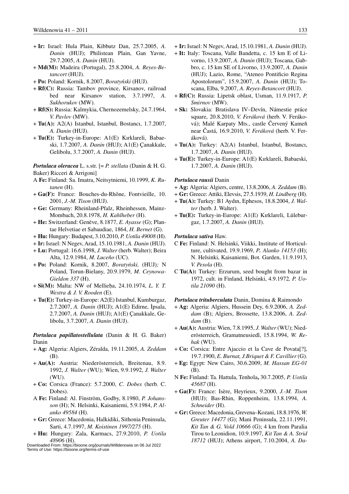- + **Ir:** Israel: Hula Plain, Kibbutz Dan, 25.7.2005, *A. Danin* (HUJ); Philistean Plain, Gan Yavne, 29.7.2005, *A. Danin* (HUJ).
- + **Md(M):** Madeira (Portugal), 25.8.2004, *A. Reyes-Betancort* (HUJ).
- + **Po:** Poland: Kornik, 8.2007, *Boratyoski* (HUJ).
- + **Rf(C):** Russia: Tambov province, Kirsanov, railroad bed near Kirsanov station, 3.7.1997, *A. Sukhorukov* (MW).
- + **Rf(S):** Russia: Kalmykia, Chernozemelsky, 24.7.1964, *V. Pavlov* (MW).
- + **Tu(A):** A2(A) Istanbul, Istanbul, Bostancı, 1.7.2007, *A. Danin* (HUJ).
- + **Tu(E):** Turkey-in-Europe: A1(E) Kırklareli, Babaeski, 1.7.2007, *A. Danin* (HUJ); A1(E) Çanakkale, Gelibolu, 3.7.2007, *A. Danin* (HUJ).

*Portulaca oleracea* L. s.str. [= *P. stellata* (Danin & H. G. Baker) Ricceri & Arrigoni]

- A **Fe:** Finland: Sa. Imatra, Neitsytniemi, 10.1999, *K. Rutanen* (H).
- + **Ga(F):** France: Bouches-du-Rhône, Fontvieille, 10. 2001, *J.-M. Tison* (HUJ).
- + **Ge:** Germany: Rheinland-Pfalz, Rheinhessen, Mainz-Mombach, 20.8.1978, *H. Kahlheber* (H).
- + **He:** Switzerland: Genève, 8.1877, *E. Ayasse* (G); Plantae Helvetiae et Sabaudiae, 1864, *H. Bernet* (G).
- + **Hu:** Hungary: Budapest, 3.10.2010, *P. Uotila 49008* (H).
- + **Ir:** Israel: N Negev, Arad, 15.10.1981, *A. Danin* (HUJ).
- + **Lu:** Portugal: 16.6.1998, *J. Walter* (herb. Walter); Beira Alta, 12.9.1984, *M. Luceño* (UC).
- + **Po:** Poland: Kornik, 8.2007, *Boratyoski,* (HUJ)*;* N Poland, Torun-Bielany, 20.9.1979, *M. Ceynowa-Gieldon 337* (H).
- + **Si(M):** Malta: NW of Mellie $\bar{p}$ a, 24.10.1974, *L. Y. T. Westra & J. V. Rooden* (E).
- + **Tu(E):** Turkey-in-Europe: A2(E) Istanbul, Kumburgaz, 2.7.2007, *A. Danin* (HUJ); A1(E) Edirne, Ipsala, 2.7.2007, *A. Danin* (HUJ); A1(E) Çanakkale, Gelibolu, 3.7.2007, *A. Danin* (HUJ).

# *Portulaca papillatostellulata* (Danin & H. G. Baker) Danin

- + **Ag:** Algeria: Algiers, Zéralda, 19.11.2005, *A. Zeddam* (B).
- + **Au(A):** Austria: Niederösterreich, Breitenau, 8.9. 1992, *J. Walter* (WU)*;* Wien, 9.9.1992, *J. Walter* (WU).
- + **Co:** Corsica (France): 5.7.2000, *C. Dobes* (herb. C. Dobes).
- A **Fe:** Finland: Al. Finström, Godby, 8.1980, *P. Johansson* (H); N. Helsinki, Kaisaniemi, 5.9.1984, *P. Alanko 49584* (H).
- + **Gr:** Greece: Macedonia, Halkidiki, Sithonia Peninsula, Sarti, 4.7.1997, *M. Koistinen 1997/275* (H).
- + **Hu:** Hungary: Zala, Karmacs, 27.9.2010, *P. Uotila 48906* (H).

Terms of Use: https://bioone.org/terms-of-use

- + **Ir:** Israel: N Negev, Arad, 15.10.1981, *A. Danin* (HUJ).
- + **It:** Italy: Toscana, Valle Bandetta, c. 15 km E of Livorno, 13.9.2007, *A. Danin* (HUJ); Toscana, Gabbro, c. 15 km SE of Livorno, 13.9.2007, *A. Danin* (HUJ); Lazio, Rome, "Ateneo Pontificio Regina Apostolorum", 15.9.2007, *A. Danin* (HUJ); Toscana, Elba, 9.2007, *A. Reyes-Betancort* (HUJ).
- + **Rf(C):** Russia: Lipetsk oblast, Usman, 11.9.1917, *P. Smirnov* (MW).
- + **Sk:** Slovakia: Bratislava IV–Devín, Námestie práce square, 20.8.2010, *V. Feráková* (herb. V. Feráková); Malé Karpaty Mts., castle Červený Kameň near Castá, 16.9.2010, *V. Feráková* (herb. V. Feráková).
- + **Tu(A):** Turkey: A2(A) Istanbul, Istanbul, Bostancı, 1.7.2007, *A. Danin* (HUJ).
- + **Tu(E):** Turkey-in-Europe: A1(E) Kırklareli, Babaeski, 1.7.2007, *A. Danin* (HUJ).

### *Portulaca rausii* Danin

- + **Ag:** Algeria: Algiers, centre, 13.8.2006, *A. Zeddam* (B).
- + **Gr:** Greece: Attiki, Elevsis, 27.5.1939, *H. Lindberg* (H).
- + **Tu(A):** Turkey: B1 Aydın, Ephesos, 18.8.2004, *J. Walter* (herb. J. Walter).
- + **Tu(E):** Turkey-in-Europe: A1(E) Kırklareli, Lüleburgaz, 1.7.2007, *A. Danin* (HUJ).

#### *Portulaca sativa* Haw.

- C **Fe:** Finland: N. Helsinki, Viikki, Institute of Horticulture, cultivated, 19.9.1969, *P. Alanko 14153* (H); N. Helsinki, Kaisaniemi, Bot. Garden, 11.9.1913, *V. Pesola* (H).
- C **Tu(A):** Turkey: Erzurum, seed bought from bazar in 1972, cult. in Finland, Helsinki, 4.9.1972*, P. Uotila 21090* (H).

#### *Portulaca trituberculata* Danin, Domina & Raimondo

- + **Ag:** Algeria: Algiers, Hussein Dey, 6.9.2006, *A. Zeddam* (B); Algiers, Brossette, 13.8.2006, *A. Zeddam* (B).
- + **Au(A):** Austria: Wien, 7.8.1995, *J. Walter* (WU); Niederösterreich, Gramatneusiedl, 15.8.1994, *W. Rehak* (WU).
- + **Co:** Corsica: Entre Ajaccio et la Cave de Povata[?], 19.7.1900, *E. Burnat, J.Briquet & F. Cavillier* (G).
- + **Eg:** Egypt: New Cairo, 30.6.2009, *M. Hassan EG-01* (B).
- N **Fe:** Finland: Ta. Hattula, Tenhola**,** 30.7.2005, *P. Uotila 45687* (H).
- + **Ga(F):** France: Isère, Heyrieux, 9.2000, *J.-M. Tison* (HUJ); Bas-Rhin, Roppenheim, 13.8.1994, *A. Schneider* (H).
- + **Gr:** Greece: Macedonia, Grevena–Kozani, 18.8.1976, *W. Greuter 14477* (G); Mani Peninsula, 22.11.1991, *Kit Tan & G. Vold 10666* (G); 4 km from Paralia Tirou to Leonidion, 10.9.1997, *Kit Tan & A. Strid <sup>18712</sup>* (HUJ); Athens airport, 7.10.2004, *A. Da* Downloaded From: https://bioone.org/journals/Willdenowia on 06 Jul 2022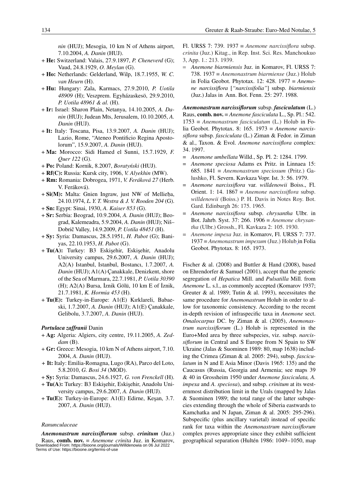*nin* (HUJ); Mesogia, 10 km N of Athens airport, 7.10.2004, *A. Danin* (HUJ).

- + **He:** Switzerland: Valais, 27.9.1897, *P. Cheneverd* (G); Vaud, 24.8.1929, *O. Meylan* (G).
- + **Ho:** Netherlands: Gelderland, Wilp, 18.7.1955, *W. C. van Heurn* (H).
- + **Hu:** Hungary: Zala, Karmacs, 27.9.2010, *P. Uotila 48909* (H); Veszprem. Egyházaskesö, 29.9.2010, *P. Uotila 48961 & al.* (H).
- + **Ir:** Israel: Sharon Plain, Netanya, 14.10.2005, *A. Danin* (HUJ); Judean Mts, Jerusalem, 10.10.2005, *A. Danin* (HUJ).
- + **It:** Italy: Toscana, Pisa, 13.9.2007, *A. Danin* (HUJ); Lazio, Rome, "Ateneo Pontificio Regina Apostolorum", 15.9.2007, *A. Danin* (HUJ).
- + **Ma:** Morocco: Sidi Hamed el Sunni, 15.7.1929, *F. Quer 122* (G).
- + **Po:** Poland: Kornik, 8.2007, *Boratyoski* (HUJ).
- + **Rf(C):** Russia: Kursk city, 1906, *V. Alyekhin* (MW).
- + **Rm:** Romania: Dobrogea, 1971, *V. Feráková 27* (Herb. V. Feráková).
- + **Si(M):** Malta: Gnien Ingraw, just NW of Mellieba, 24.10.1974, *L. Y. T. Westra & J. V. Rooden 204* (G).
- + **Sn:** Egypt: Sinai, 1930, *A. Kaiser 853* (G).
- + **Sr:** Serbia: Beograd, 10.9.2004, *A. Danin* (HUJ); Beograd, Kalemeadra, 5.9.2004, *A. Danin* (HUJ); Nis– Dobric Valley, 14.9.2009, *P. Uotila 48451* (H).
- + **Sy:** Syria: Damascus, 28.5.1951, *H. Pabot* (G); Baniyas, 22.10.1953, *H. Pabot* (G).
- + Tu(A): Turkey: B3 Eskişehir, Eskişehir, Anadolu University campus, 29.6.2007, *A. Danin* (HUJ); A2(A) Istanbul, Istanbul, Bostancı, 1.7.2007, *A. Danin* (HUJ); A1(A) Çanakkale, Denizkent, shore of the Sea of Marmara, 22.7.1981, *P. Uotila 30390* (H); A2(A) Bursa, Iznik Gölü, 10 km E of Iznik, 21.7.1981, *K. Hormia 453* (H).
- + **Tu(E):** Turkey-in-Europe: A1(E) Kırklareli, Babaeski, 1.7.2007, *A. Danin* (HUJ); A1(E) Çanakkale, Gelibolu, 3.7.2007, *A. Danin* (HUJ).

# *Portulaca zaffranii* Danin

- + **Ag:** Algeria: Algiers, city centre, 19.11.2005, *A. Zeddam* (B).
- + **Gr:** Greece: Mesogia, 10 km N of Athens airport, 7.10. 2004, *A. Danin* (HUJ).
- *+* **It:** Italy: Emilia-Romagna, Lugo (RA), Parco del Loto, 5.8.2010, *G. Bosi 34* (MOD).
- + **Sy:** Syria: Damascus, 24.6.1927, *G. von Frenckell* (H).
- + Tu(A): Turkey: B3 Eskişehir, Eskişehir, Anadolu University campus, 29.6.2007, *A. Danin* (HUJ).
- $+$  **Tu(E):** Turkey-in-Europe: A1(E) Edirne, Kesan, 3.7. 2007, *A. Danin* (HUJ).

# *Ranunculaceae*

*Anemonastrum narcissiflorum* subsp. *crinitum* (Juz.) Raus, **comb. nov.** ≡ *Anemone crinita* Juz. in Komarov, Downloaded From: https://bioone.org/journals/Willdenowia on 06 Jul 2022 Terms of Use: https://bioone.org/terms-of-use

Fl. URSS 7: 739. 1937 ≡ *Anemone narcissiflora* subsp. *crinita* (Juz.) Kitag., in Rep. Inst. Sci. Res. Manchoukuo 3, App. 1.: 213. 1939.

= *Anemone biarmiensis* Juz. in Komarov, Fl. URSS 7: 738. 1937 ≡ *Anemonastrum biarmiense* (Juz.) Holub in Folia Geobot. Phytotax. 12: 428. 1977 ≡ *Anemone narcissiflora* [*"narcissifolia"*] subsp. *biarmiensis* (Juz.) Jalas in Ann. Bot. Fenn. 25: 297. 1988.

*Anemonastrum narcissiflorum* subsp. *fasciculatum* (L.) Raus, **comb. nov.** ≡ *Anemone fasciculata* L., Sp. Pl.: 542. 1753 ≡ *Anemonastrum fasciculatum* (L.) Holub in Folia Geobot. Phytotax. 8: 165. 1973 ≡ *Anemone narcissiflora* subsp. *fasciculata* (L.) Ziman & Fedor. in Ziman & al., Taxon. & Evol. *Anemone narcissiflora* complex: 34. 1997.

- = *Anemone umbellata* Willd., Sp. Pl. 2: 1284. 1799.
- = *Anemone speciosa* Adams ex Pritz. in Linnaea 15: 685. 1841 ≡ *Anemonastrum speciosum* (Pritz.) Galushko, Fl. Severn. Kavkaza Vopr. Ist. 3: 56. 1979.
- = *Anemone narcissiflora* var. *willdenowii* Boiss., Fl. Orient. 1: 14. 1867  $\equiv$  *Anemone narcissiflora* subsp. *willdenowii* (Boiss.) P. H. Davis in Notes Roy. Bot. Gard. Edinburgh 26: 175. 1965.
- = *Anemone narcissiflora* subsp. *chrysantha* Ulbr. in Bot. Jahrb. Syst. 37: 266. 1906 ≡ *Anemone chrysantha* (Ulbr.) Grossh., Fl. Kavkaza 2: 105. 1930.
- = *Anemone impexa* Juz. in Komarov, Fl. URSS 7: 737. 1937 ≡ *Anemonastrum impexum* (Juz.) Holub in Folia Geobot. Phytotax. 8: 165. 1973.

Fischer & al. (2008) and Buttler & Hand (2008), based on Ehrendorfer & Samuel (2001), accept that the generic segregation of *Hepatica* Mill. and *Pulsatilla* Mill. from *Anemone* L. s.l., as commonly accepted (Komarov 1937; Greuter & al. 1989; Tutin & al. 1993), necessitates the same procedure for *Anemonastrum* Holub in order to allow for taxonomic consistency. According to the recent in-depth revision of infraspecific taxa in *Anemone* sect. *Omalocarpus* DC. by Ziman & al. (2005), *Anemonastrum narcissiflorum* (L.) Holub is represented in the Euro+Med area by three subspecies, viz. subsp. *narcissiflorum* in Central and S Europe from N Spain to SW Ukraine (Jalas & Suominen 1989: 80, map 1638) including the Crimea (Ziman & al. 2005: 294), subsp. *fasciculatum* in N and E Asia Minor (Davis 1965: 135) and the Caucasus (Russia, Georgia and Armenia; see maps 39 & 40 in Grossheim 1950 under *Anemone fasciculata, A. impexa* and *A. speciosa*), and subsp. *crinitum* at its westernmost distribution limit in the Urals (mapped by Jalas & Suominen 1989; the total range of the latter subspecies extending through the whole of Siberia eastwards to Kamchatka and N Japan, Ziman & al. 2005: 295-296). Subspecific (plus ancillary varietal) instead of specific rank for taxa within the *Anemonastrum narcissiflorum* complex proves appropriate since they exhibit sufficient geographical separation (Hultén 1986: 1049–1050, map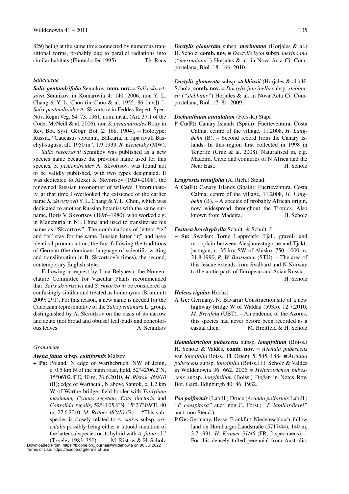829) being at the same time connected by numerous transitional forms, probably due to parallel radiations into similar habitats (Ehrendorfer 1995). Th. Raus

# *Salicaceae*

*Salix pentandrifolia* Sennikov, **nom. nov.** ≡ *Salix skvortsovii* Sennikov in Komarovia 4: 140. 2006, non Y. L. Chang & Y. L. Chou (in Chou & al. 1955: 86 [n.v.]) [– *Salix pentandroides* A. Skvortsov in Feddes Repert. Spec. Nov. Regni Veg. 64: 73. 1961, nom. inval. (Art. 37.1 of the Code; McNeill & al. 2006), non *S. pentandroides* Rouy in Rev. Bot. Syst. Géogr. Bot. 2: 168. 1904]. – Holotype: Russia, "Caucasus septentr., Balkaria, in ripa rivuli Baschyl-sugusu, alt. 1950 m", 1.9.1939, *R. Elenevsky* (MW).

*Salix skvortsovii* Sennikov was published as a new species name because the previous name used for this species, *S. pentandroides* A. Skvortsov, was found not to be validly published, with two types designated. It was dedicated to Alexei K. Skvortsov (1920–2008), the renowned Russian taxonomist of willows. Unfortunately, at that time I overlooked the existence of the earlier name *S. skvortzovii* Y. L. Chang & Y. L. Chou, which was dedicated to another Russian botanist with the same surname, Boris V. Skvortsov (1896–1980), who worked e.g. in Manchuria in NE China and used to transliterate his name as "Skvortzov". The combinations of letters "tz" and "ts" stay for the same Russian letter "u" and have identical pronunciation, the first following the traditions of German (the dominant language of scientific writing and transliteration in B. Skvortsov's times), the second, contemporary English style.

Following a request by Irina Belyaeva, the Nomenclature Committee for Vascular Plants recommended that *Salix skvortsovii* and *S. skvortzovii* be considered as confusingly similar and treated as homonyms (Brummitt 2009: 291). For this reason, a new name is needed for the Caucasian representative of the *Salix pentandra* L. group, distinguished by A. Skvortsov on the basis of its narrow and acute (not broad and obtuse) leaf-buds and concolorous leaves. A. Sennikov

#### *Gramineae*

# *Avena fatua* subsp. *cultiformis* Malzev

+ **Po:** Poland: N edge of Warthebruch, NW of Jenin, c. 0.5 km N of the main road, field, 52°42'06.2''N, 15°06'02.8''E, 40 m, 26.6.2010, *M. Ristow 460/10* (B); edge of Warthetal, N above Santok, c. 1.2 km W of Warthe bridge, field border with *Tordylium maximum, Cyanus segetum, Cota tinctoria* and *Consolida regalis*, 52°44'05.6''N, 15°23'30.9''E, 40 m, 27.6.2010, *M*. *Ristow 482/10* (B). – "This subspecies is closely related to *A. sativa* subsp. *orientalis* possibly being either a fatuoid mutation of the latter subspecies or its hybrid with *A. fatua* s.l."

(Tzvelev 1983: 350). M. Ristow & H. Scholz Downloaded From: https://bioone.org/journals/Willdenowia on 06 Jul 2022 Terms of Use: https://bioone.org/terms-of-use

*Dactylis glomerata* subsp. *merinoana* (Horjales & al.) H. Scholz, **comb. nov.** ≡ *Dactylis izcoi* subsp. *merinoana* (*"merinoiana"*) Horjales & al. in Nova Acta Ci. Compostelana, Biol. 18: 166. 2010.

*Dactylis glomerata* subsp. *stebbinsii* (Horjales & al.) H. Scholz, **comb. nov.** ≡ *Dactylis juncinella* subsp. *stebbinsii* (*"stebbinis"*) Horjales & al. in Nova Acta Ci. Compostelana, Biol. 17: 81. 2009.

#### *Dichanthium annulatum* (Forssk.) Stapf

P **Ca(F):** Canary Islands (Spain): Fuerteventura, Costa Calma, centre of the village, 11.2008, *H. Langbehn* (B). – Second record from the Canary Islands. In this region first collected in 1998 in Tenerife (Cruz & al. 2008). Naturalised in, e.g. Madeira, Crete and countries of N Africa and the Near East. H. Scholz

# *Eragrostis tenuifolia* (A. Rich.) Steud.

A **Ca(F):** Canary Islands (Spain): Fuerteventura, Costa Calma, centre of the village, 11.2008, *H. Langbehn* (B). – A species of probably African origin, now widespread throughout the Tropics. Also known from Madeira. H. Scholz

#### *Festuca brachyphylla* Schult. & Schult. f.

+ **Su:** Sweden: Torne Lappmark; Fjäll, gravel- and moorplain between Alesjaurestugorne and Tjäktjastugan, c. 35 km SW of Abisko, 750–1000 m, 21.8.1990, *R. W. Bussmann* (STU). – The area of this fescue extends from Svalbard and N Norway to the arctic parts of European and Asian Russia. H. Scholz

# *Holcus rigidus* Hochst.

A **Ge:** Germany, N. Bavaria**:** Construction site of a new highway bridge W of Waldau (5935), 12.7.2010, *M. Breitfeld* (UBT). – An endemic of the Azores, this species had never before been recorded as a casual alien. M. Breitfeld & H. Scholz

*Homalotrichon pubescens* subsp. *longifolium* (Boiss.) H. Scholz & Valdés, **comb. nov.** ≡ *Avenula pubescens* var. *longifolia* Boiss., Fl. Orient. 5: 545. 1884 ≡ *Avenula pubescens* subsp. *longifolia* (Boiss.) H. Scholz & Valdés in Willdenowia 36: 662. 2006 ≡ *Helictotrichon pubescens* subsp. *longifolium* (Boiss.) Doğan in Notes Roy. Bot. Gard. Edinburgh 40: 86. 1982.

*Poa poiformis* (Labill.) Druce (*Arundo poiformis* Labill.; *"P. caespitosa"* auct. non G. Forst.; *"P. labillardierei"* auct. non Steud.).

P **Ge:** Germany, Hesse: Frankfurt-Niedereschbach, fallow land on Homburger Landstraße (5717/44), 140 m, 3.7.1991, *H. Kramer 91/45* (FR, 2 specimens). – For this densely tufted perennial from Australia,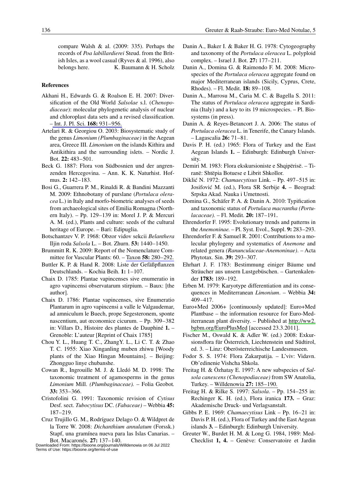compare Walsh & al. (2009: 335). Perhaps the records of *Poa labillardierei* Steud. from the British Isles, as a wool casual (Ryves & al. 1996), also belongs here. K. Baumann & H. Scholz

# **References**

- Akhani H., Edwards G. & Roalson E. H. 2007: Diversification of the Old World *Salsolae* s.l. (*Chenopodiaceae*): molecular phylogenetic analysis of nuclear and chloroplast data sets and a revised classification. [– Int. J. Pl. Sci.](http://www.ingentaconnect.com/content/external-references?article=1058-5893()168L.931[aid=9242862]) **168:** 931–956.
- Artelari R. & Georgiou O. 2003: Biosystematic study of the genus *Limonium (Plumbaginaceae)* in the Aegean area, Greece III. *Limonium* on the islands Kithira and Antikithira and the surrounding islets. – Nordic J. Bot. **22:** 483–501.
- Beck G. 1887: Flora von Südbosnien und der angrenzenden Hercegovina. – Ann. K. K. Naturhist. Hofmus. **2:** 142–183.
- Bosi G., Guarrera P. M., Rinaldi R. & Bandini Mazzanti M. 2009: Ethnobotany of purslane (*Portulaca oleracea* L.) in Italy and morfo-biometric analyses of seeds from archaeological sites of Emilia Romagna (Northern Italy). – Pp. 129–139 in: Morel J. P. & Mercuri A. M. (ed.), Plants and culture: seeds of the cultural heritage of Europe. – Bari: Edipuglia.
- Botschantzev V. P. 1968: Obzor vidov sekcii *Belanthera* Iljin roda *Salsola* L. – Bot. Zhurn. **53:** 1440–1450.
- Brummitt R. K. 2009: Report of the Nomenclature Committee for Vascular Plants: 60. – Taxon **58:** [280–292.](http://www.ingentaconnect.com/content/external-references?article=0040-0262()58L.280[aid=8993667])
- Buttler K. P. & Hand R. 2008: Liste der Gefäßpflanzen Deutschlands. – Kochia Beih. **1:** 1–107.
- Chaix D. 1785: Plantae vapincenses sive enumeratio in agro vapincensi observatarum stirpium. – Baux: [the author].
- Chaix D. 1786: Plantae vapincenses, sive Enumeratio Plantarum in agro vapincensi a valle le Valgaudemar, ad amniculum le Buech, prope Segesteronem, sponte nascentium, aut œconomice cicurum. – Pp. 309–382 in: Villars D., Histoire des plantes de Dauphiné **1.** – Grenoble: L'auteur [Reprint of Chaix 1785]
- Chou Y. L., Huang T. C., ZhangY. L., Li C. T. & Zhao T. C. 1955: Xiao Xinganling muben zhiwu [Woody plants of the Xiao Hingan Mountains]. – Beijing: Zhongguo linye chubanshe.
- Cowan R., Ingrouille M. J. & Lledó M. D. 1998: The taxonomic treatment of agamosperms in the genus *Limonium* Mill. *(Plumbaginaceae).* – Folia Geobot*.*  **33:** 353–366.
- Cristofolini G. 1991: Taxonomic revision of *Cytisus*  Desf. sect. *Tubocytisus* DC. *(Fabaceae)* – Webbia **45:** 187–219.
- Cruz Trujillo G. M., Rodríguez Delago O. & Wildpret de la Torre W. 2008: *Dichanthium annulatum* (Forssk.) Stapf, una gramínea nueva para las Islas Canarias. – Bot. Macaronés. **27:** 137–140.
- Danin A., Baker I. & Baker H. G. 1978: Cytogeography and taxonomy of the *Portulaca oleracea* L. polyploid complex. – Israel J. Bot. **27:** 177–211.
- Danin A., Domina G. & Raimondo F. M. 2008: Microspecies of the *Portulaca oleracea* aggregate found on major Mediterranean islands (Sicily, Cyprus, Crete, Rhodes). – Fl. Medit. **18:** 89–108.
- Danin A., Marrosu M., Caria M. C. & Bagella S. 2011: The status of *Portulaca oleracea* aggregate in Sardinia (Italy) and a key to its 19 microspecies. – Pl. Biosystems (in press).
- Danin A. & Reyes-Betancort J. A. 2006: The status of *Portulaca oleracea* L. in Tenerife, the Canary Islands. – Lagascalia **26:** 71–81.
- Davis P. H. (ed.) 1965: Flora of Turkey and the East Aegean Islands **1.** – Edinburgh: Edinburgh University.
- Demiri M. 1983: Flora ekskursioniste e Shqipërisë. Tiranë: Shtëpia Botuese e Librit Shkollor.
- Dikli6 N. 1972: *Chamaecytisus* Link. Pp. 497–515 in: Josifovi6 M. (ed.), Flora SR Serbije **4.** – Beograd: Srpska Akad. Nauka i Umetnosti.
- Domina G., Schäfer P. A. & Danin A. 2010: Typification and taxonomic status of *Portulaca macrantha (Portulacaceae).* – Fl. Medit. **20:** 187–191.
- Ehrendorfer F. 1995: Evolutionary trends and patterns in the *Anemoninae.* – Pl. Syst. Evol., Suppl. **9:** 283–293.
- Ehrendorfer F. & Samuel R. 2001: Contributions to a molecular phylogeny and systematics of *Anemone* and related genera *(Ranunculaceae-Anemoninae)*. – Acta Phytotax. Sin. **39:** 293–307.
- Ehrhart J. F. 1783: Bestimmung einiger Bäume und Sträucher aus unsern Lustgebüschen. – Gartenkalender **1783:** 189–192.
- Erben M. 1979: Karyotype differentiation and its consequences in Mediterranean *Limonium*. – Webbia **34:** 409–417.
- Euro+Med 2006+ [continuously updated]: Euro+Med Plantbase – the information resource for Euro-Mediterranean plant diversity. – Published at [http://ww2.](http://www2.bgbm.org/EuroPlusMed) [bgbm.org/EuroPlusMed](http://www2.bgbm.org/EuroPlusMed) [accessed 23.3.2011].
- Fischer M., Oswald K. & Adler W. (ed.) 2008: Exkursionsflora für Österreich, Liechtenstein und Südtirol, ed. 3. – Linz: Oberösterreichische Landesmuseen.
- Fodor S. S. 1974: Flora Zakarpatija. L'viv: Vidavn. Ob'edinenie Vishcha Shkola.
- Freitag H. & Özhatay E. 1997: A new subspecies of *Salsola canescens (Chenopodiaceae)* from SW Anatolia, Turkey. – [Willdenowia](http://www.ingentaconnect.com/content/external-references?article=0511-9618()27L.185[aid=9582654]) **27:** 185–190.
- Freitag H. & Rilke S. 1997: *Salsola*. Pp. 154–255 in: Rechinger K. H. (ed.), Flora iranica **173.** – Graz: Akademische Druck- und Verlagsanstalt.
- Gibbs P. E. 1969: *Chamaecytisus* Link Pp. 16–21 in: Davis P. H. (ed.), Flora of Turkey and the East Aegean islands **3.** – Edinburgh: Edinburgh University.
- Greuter W., Burdet H. M. & Long G. 1984, 1989: Med-Checklist **1, 4.** – Genève: Conservatoire et Jardin

Downloaded From: https://bioone.org/journals/Willdenowia on 06 Jul 2022 Terms of Use: https://bioone.org/terms-of-use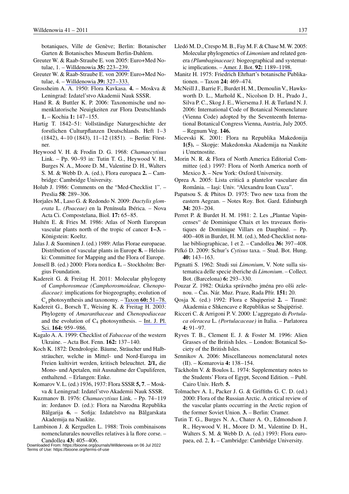botaniques, Ville de Genève; Berlin: Botanischer Garten & Botanisches Museum Berlin-Dahlem.

- Greuter W. & Raab-Straube E. von 2005: Euro+Med Notulae, 1. – [Willdenowia](http://www.ingentaconnect.com/content/external-references?article=0511-9618()35L.223[aid=8814528]) **35:** 223–239.
- Greuter W. & Raab-Straube E. von 2009: Euro+Med Notulae, 4. – [Willdenowia](http://www.ingentaconnect.com/content/external-references?article=0511-9618()39L.327[aid=9582664]) **39:** 327–333.
- Grossheim A. A. 1950: Flora Kavkasa. **4.** Moskva & Leningrad: Izdatel'stvo Akademii Nauk SSSR.
- Hand R. & Buttler K. P. 2006: Taxonomische und nomenklatorische Neuigkeiten zur Flora Deutschlands **1.** – Kochia **1:** 147–155.
- Hartig T. 1842–51: Vollständige Naturgeschichte der forstlichen Culturpflanzen Deutschlands. Heft 1–3 (1842), 4–10 (1843), 11–12 (1851). – Berlin: Förstner.
- Heywood V. H. & Frodin D. G. 1968: *Chamaecytisus*  Link. – Pp. 90–93 in: Tutin T. G., Heywood V. H., Burges N. A., Moore D. M., Valentine D. H., Walters S. M. & Webb D. A. (ed.), Flora europaea **2.** – Cambridge: Cambridge University.
- Holub J. 1986: Comments on the "Med-Checklist 1". Preslia **58**: 289–306.
- Horjales M., Laso G. & Redondo N. 2009: *Dactylis glomerata* L. *(Poaceae)* en la Península Ibérica. – Nova Acta Ci. Compostelana, Biol. **17:** 65–85.
- Hultén E. & Fries M. 1986: Atlas of North European vascular plants north of the tropic of cancer **1–3.** – Königstein: Koeltz.
- Jalas J. & Suominen J. (ed.) 1989: Atlas Florae europaeae. Distribution of vascular plants in Europe **8.** – Helsinki: Committee for Mapping and the Flora of Europe.
- Jonsell B. (ed.) 2000: Flora nordica **1.** Stockholm: Bergius Foundation.
- Kadereit G. & Freitag H. 2011: Molecular phylogeny of *Camphorosmeae (Camphorosmoideae, Chenopodiaceae)*: implications for biogeography, evolution of C4 photosynthesis and taxonomy. – Taxon **60:** [51–78.](http://www.ingentaconnect.com/content/external-references?article=0040-0262()60L.51[aid=9582663])
- Kadereit G., Borsch T., Weising K. & Freitag H. 2003: Phylogeny of *Amaranthaceae* and *Chenopodiaceae* and the evolution of  $C_4$  photosynthesis. – Int. J. Pl. Sci. **164:** [959–986.](http://www.ingentaconnect.com/content/external-references?article=1058-5893()164L.959[aid=6876538])
- Kagalo A. A. 1999: Checklist of *Fabaceae* of the western Ukraine. – Acta Bot. Fenn. **162:** 137–140.
- Koch K. 1872: Dendrologie. Bäume, Sträucher und Halbsträucher, welche in Mittel- und Nord-Europa im Freien kultivirt werden, kritisch beleuchtet. **2/1,** die Mono- und Apetalen, mit Ausnahme der Cupuliferen, enthaltend. – Erlangen: Enke.
- Komarov V. L. (ed.) 1936, 1937: Flora SSSR **5, 7**. Moskva & Leningrad: Izdatel'stvo Akademii Nauk SSSR.
- Kuzmanov B. 1976: *Chamaecytisus* Link. Pp. 74–119 in: Jordanov D. (ed.): Flora na Narodna Republika Bălgarija **6.** – Sofija: Izdatelstvo na Bălgarskata Akademija na Naukite.
- Lambinon J. & Kerguélen L. 1988: Trois combinaisons nomenclaturales nouvelles relatives à la flore corse. – Candollea **43:** 405–406.

Downloaded From: https://bioone.org/journals/Willdenowia on 06 Jul 2022 Terms of Use: https://bioone.org/terms-of-use

- Lledó M. D., Crespo M. B., Fay M. F. & Chase M. W. 2005: Molecular phylogenetics of *Limonium* and related genera *(Plumbaginaceae)*: biogeographical and systematic implications. – [Amer. J. Bot.](http://www.ingentaconnect.com/content/external-references?article=0002-9122()92L.1189[aid=9582661]) **92:** 1189–1198.
- Manitz H. 1975: Friedrich Ehrhart's botanische Publikationen. – Taxon **24:** 469–474.
- McNeill J., Barrie F., Burdet H. M., Demoulin V., Hawksworth D. L., Marhold K., Nicolson D. H., Prado J., Silva P. C., Skog J. E., Wiersema J. H. & Turland N. J. 2006: International Code of Botanical Nomenclature (Vienna Code) adopted by the Seventeenth International Botanical Congress Vienna, Austria, July 2005. – Regnum Veg. **146.**
- Micevski K. 2001: Flora na Republika Makedonija **1(5).** – Skopje: Makedonska Akademija na Naukite i Umetnostite.
- Morin N. R. & Flora of North America Editorial Committee (ed.) 1997: Flora of North America north of Mexico **3.** – New York: Oxford University.
- Oprea A. 2005: Lista critică a plantelor vasculare din România. – Iași: Univ. "Alexandru Ioan Cuza".
- Papatsou S. & Phitos D. 1975: Two new taxa from the eastern Aegean. – Notes Roy. Bot. Gard. Edinburgh **34:** 203–204.
- Perret P. & Burdet H. M. 1981: 2. Les "Plantae Vapincenses" de Dominique Chaix et les traveaux floristiques de Dominique Villars en Dauphiné. – Pp. 400–408 in Burdet, H. M. (ed.), Med-Checklist notulae bibliographicae, 1 et 2. – Candollea **36:** 397–408.
- Pifkó D. 2009: Schur's *Cytisus* taxa. Stud. Bot. Hung. **40:** 143–163.
- Pignatti S. 1962: Studi sui *Limonium*, V. Note sulla sistematica delle specie iberiche di *Limonium*. – Collect. Bot. (Barcelona) **6:** 293–330.
- Pouzar Z. 1982: Otázka správného jména pro olši zelenou. – Cas. Nár. Muz. Praze, Rada Prír. **151:** 20.
- Qosja X. (ed.) 1992: Flora e Shqiperisë **2.** Tiranë: Akademia e Shkencave e Republikas se Shqipërisë.
- Ricceri C. & Arrigoni P. V. 2000: L'aggregato di *Portulaca oleracea* L. *(Portulacaceae)* in Italia. – Parlatorea **4:** 91–97.
- Ryves T. B., Clement E. J. & Foster M. 1996: Alien Grasses of the British Isles. – London: Botanical Society of the British Isles.
- Sennikov A. 2006: Miscellaneous nomenclatural notes (II). – Komarovia **4:** 138–154.
- Täckholm V. & Boulos L. 1974: Supplementary notes to the Students' Flora of Egypt, Second Edition. – Publ. Cairo Univ. Herb. **5.**
- Tolmachev A. I., Packer J. G. & Griffiths G. C. D. (ed.) 2000: Flora of the Russian Arctic. A critical review of the vascular plants occurring in the Arctic region of the former Soviet Union. **3.** – Berlin: Cramer.
- Tutin T. G., Burges N. A., Chater A. O., Edmondson J. R., Heywood V. H., Moore D. M., Valentine D. H., Walters S. M. & Webb D. A. (ed.) 1993: Flora europaea, ed. 2, **1.** – Cambridge: Cambridge University.